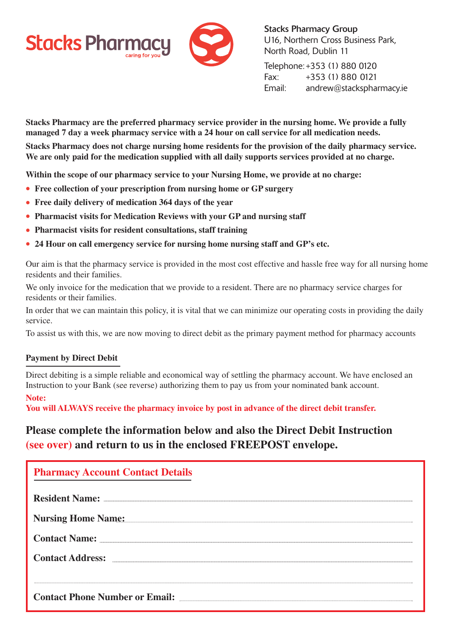



Stacks Pharmacy Group U16, Northern Cross Business Park, North Road, Dublin 11

Telephone:+353 (1) 880 0120 Fax: +353 (1) 880 0121 Email: andrew@stackspharmacy.ie

**Stacks Pharmacy are the preferred pharmacy service provider in the nursing home. We provide a fully managed 7 day a week pharmacy service with a 24 hour on call service for all medication needs.**

**Stacks Pharmacy does not charge nursing home residents for the provision of the daily pharmacy service. We are only paid for the medication supplied with all daily supports services provided at no charge.**

**Within the scope of our pharmacy service to your Nursing Home, we provide at no charge:**

- **• Free collection of your prescription from nursing home or GP surgery**
- **• Free daily delivery of medication 364 days of the year**
- **• Pharmacist visits for Medication Reviews with your GP and nursing staff**
- **• Pharmacist visits for resident consultations, staff training**
- **• 24 Hour on call emergency service for nursing home nursing staff and GP's etc.**

Our aim is that the pharmacy service is provided in the most cost effective and hassle free way for all nursing home residents and their families.

We only invoice for the medication that we provide to a resident. There are no pharmacy service charges for residents or their families.

In order that we can maintain this policy, it is vital that we can minimize our operating costs in providing the daily service.

To assist us with this, we are now moving to direct debit as the primary payment method for pharmacy accounts

## **Payment by Direct Debit**

Direct debiting is a simple reliable and economical way of settling the pharmacy account. We have enclosed an Instruction to your Bank (see reverse) authorizing them to pay us from your nominated bank account.

## **Note:**

**You will ALWAYS receive the pharmacy invoice by post in advance of the direct debit transfer.**

## **Please complete the information below and also the Direct Debit Instruction (see over) and return to us in the enclosed FREEPOST envelope.**

| <b>Pharmacy Account Contact Details</b> |
|-----------------------------------------|
| <b>Resident Name:</b>                   |
| <b>Nursing Home Name:</b>               |
| <b>Contact Name:</b>                    |
| <b>Contact Address:</b>                 |
|                                         |
| <b>Contact Phone Number or Email:</b>   |